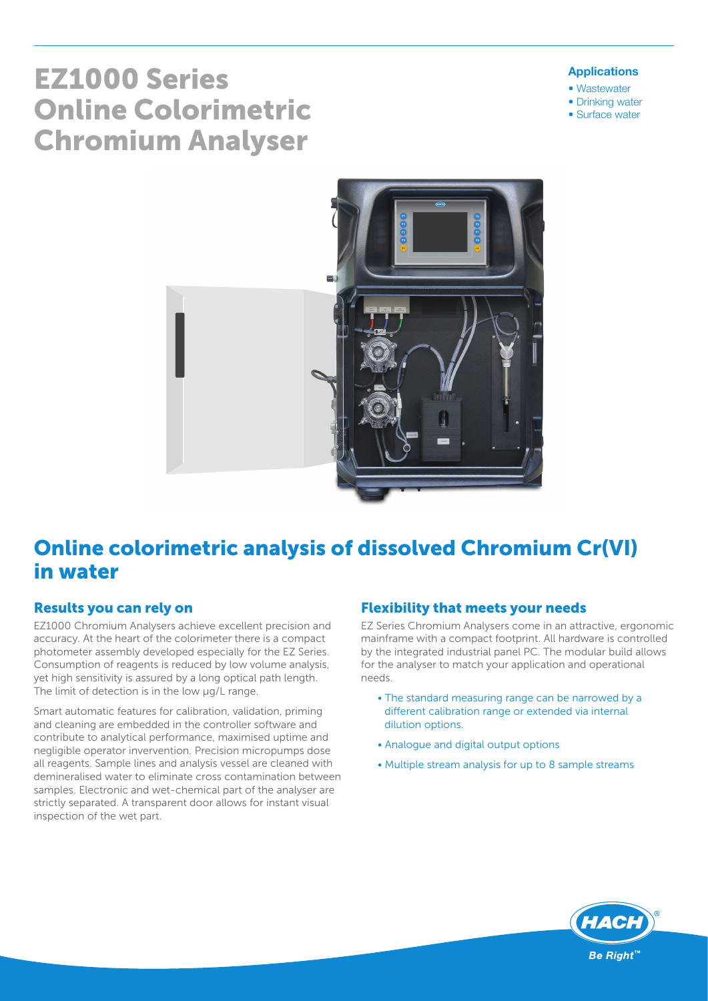# EZ1000 Series Online Colorimetric Chromium Analyser

#### Applications

- Wastewater
- Drinking water
- Surface water



## Online colorimetric analysis of dissolved Chromium Cr(VI) in water

#### Results you can rely on

EZ1000 Chromium Analysers achieve excellent precision and accuracy. At the heart of the colorimeter there is a compact photometer assembly developed especially for the EZ Series. Consumption of reagents is reduced by low volume analysis, yet high sensitivity is assured by a long optical path length. The limit of detection is in the low  $\mu$ g/L range.

Smart automatic features for calibration, validation, priming and cleaning are embedded in the controller software and contribute to analytical performance, maximised uptime and negligible operator invervention. Precision micropumps dose all reagents. Sample lines and analysis vessel are cleaned with demineralised water to eliminate cross contamination between samples. Electronic and wet-chemical part of the analyser are strictly separated. A transparent door allows for instant visual inspection of the wet part.

#### Flexibility that meets your needs

EZ Series Chromium Analysers come in an attractive, ergonomic mainframe with a compact footprint. All hardware is controlled by the integrated industrial panel PC. The modular build allows for the analyser to match your application and operational needs.

- The standard measuring range can be narrowed by a different calibration range or extended via internal dilution options.
- Analogue and digital output options
- Multiple stream analysis for up to 8 sample streams

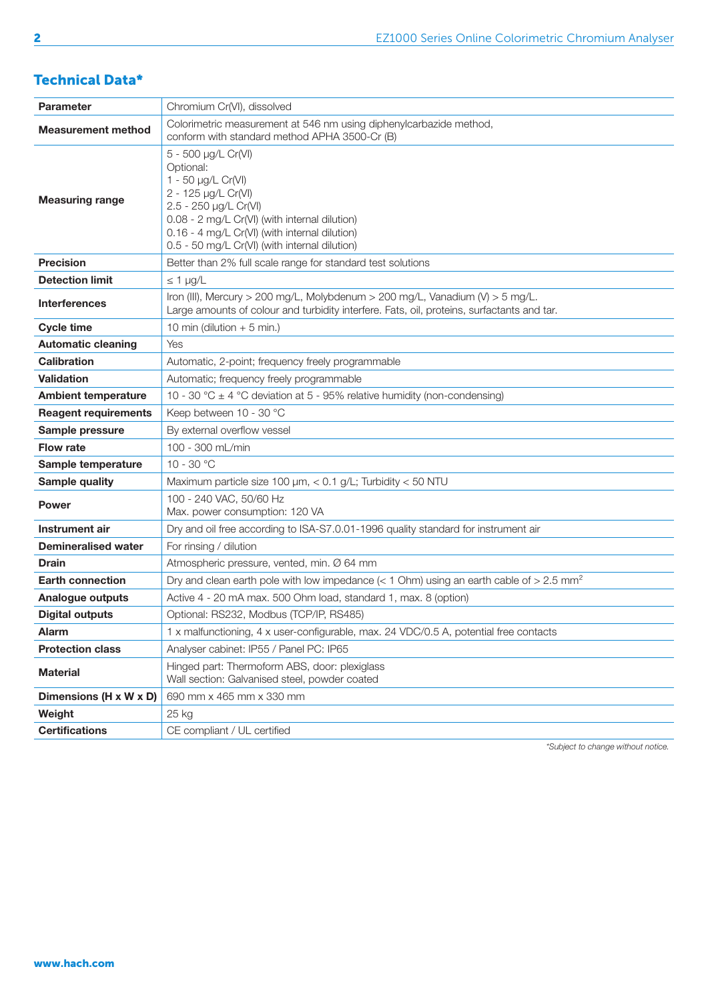#### Technical Data\*

| <b>Parameter</b>            | Chromium Cr(VI), dissolved                                                                                                                                                                                                                                |  |  |  |  |
|-----------------------------|-----------------------------------------------------------------------------------------------------------------------------------------------------------------------------------------------------------------------------------------------------------|--|--|--|--|
| <b>Measurement method</b>   | Colorimetric measurement at 546 nm using diphenylcarbazide method,<br>conform with standard method APHA 3500-Cr (B)                                                                                                                                       |  |  |  |  |
| <b>Measuring range</b>      | 5 - 500 µg/L Cr(VI)<br>Optional:<br>1 - 50 µg/L Cr(VI)<br>2 - 125 µg/L Cr(VI)<br>2.5 - 250 µg/L Cr(VI)<br>0.08 - 2 mg/L Cr(VI) (with internal dilution)<br>0.16 - 4 mg/L Cr(VI) (with internal dilution)<br>0.5 - 50 mg/L Cr(VI) (with internal dilution) |  |  |  |  |
| <b>Precision</b>            | Better than 2% full scale range for standard test solutions                                                                                                                                                                                               |  |  |  |  |
| <b>Detection limit</b>      | $\leq 1$ µg/L                                                                                                                                                                                                                                             |  |  |  |  |
| <b>Interferences</b>        | Iron (III), Mercury > 200 mg/L, Molybdenum > 200 mg/L, Vanadium (V) > 5 mg/L.<br>Large amounts of colour and turbidity interfere. Fats, oil, proteins, surfactants and tar.                                                                               |  |  |  |  |
| <b>Cycle time</b>           | 10 min (dilution $+5$ min.)                                                                                                                                                                                                                               |  |  |  |  |
| <b>Automatic cleaning</b>   | Yes                                                                                                                                                                                                                                                       |  |  |  |  |
| <b>Calibration</b>          | Automatic, 2-point; frequency freely programmable                                                                                                                                                                                                         |  |  |  |  |
| <b>Validation</b>           | Automatic; frequency freely programmable                                                                                                                                                                                                                  |  |  |  |  |
| <b>Ambient temperature</b>  | 10 - 30 °C $\pm$ 4 °C deviation at 5 - 95% relative humidity (non-condensing)                                                                                                                                                                             |  |  |  |  |
| <b>Reagent requirements</b> | Keep between 10 - 30 °C                                                                                                                                                                                                                                   |  |  |  |  |
| Sample pressure             | By external overflow vessel                                                                                                                                                                                                                               |  |  |  |  |
| <b>Flow rate</b>            | 100 - 300 mL/min                                                                                                                                                                                                                                          |  |  |  |  |
| Sample temperature          | $10 - 30 °C$                                                                                                                                                                                                                                              |  |  |  |  |
| Sample quality              | Maximum particle size 100 $\mu$ m, < 0.1 g/L; Turbidity < 50 NTU                                                                                                                                                                                          |  |  |  |  |
| <b>Power</b>                | 100 - 240 VAC, 50/60 Hz<br>Max. power consumption: 120 VA                                                                                                                                                                                                 |  |  |  |  |
| Instrument air              | Dry and oil free according to ISA-S7.0.01-1996 quality standard for instrument air                                                                                                                                                                        |  |  |  |  |
| <b>Demineralised water</b>  | For rinsing / dilution                                                                                                                                                                                                                                    |  |  |  |  |
| <b>Drain</b>                | Atmospheric pressure, vented, min. Ø 64 mm                                                                                                                                                                                                                |  |  |  |  |
| <b>Earth connection</b>     | Dry and clean earth pole with low impedance ( $<$ 1 Ohm) using an earth cable of $>$ 2.5 mm <sup>2</sup>                                                                                                                                                  |  |  |  |  |
| Analogue outputs            | Active 4 - 20 mA max. 500 Ohm load, standard 1, max. 8 (option)                                                                                                                                                                                           |  |  |  |  |
| <b>Digital outputs</b>      | Optional: RS232, Modbus (TCP/IP, RS485)                                                                                                                                                                                                                   |  |  |  |  |
| <b>Alarm</b>                | 1 x malfunctioning, 4 x user-configurable, max. 24 VDC/0.5 A, potential free contacts                                                                                                                                                                     |  |  |  |  |
| <b>Protection class</b>     | Analyser cabinet: IP55 / Panel PC: IP65                                                                                                                                                                                                                   |  |  |  |  |
| <b>Material</b>             | Hinged part: Thermoform ABS, door: plexiglass<br>Wall section: Galvanised steel, powder coated                                                                                                                                                            |  |  |  |  |
| Dimensions (H x W x D)      | 690 mm x 465 mm x 330 mm                                                                                                                                                                                                                                  |  |  |  |  |
| Weight                      | 25 kg                                                                                                                                                                                                                                                     |  |  |  |  |
| <b>Certifications</b>       | CE compliant / UL certified                                                                                                                                                                                                                               |  |  |  |  |

*\*Subject to change without notice.*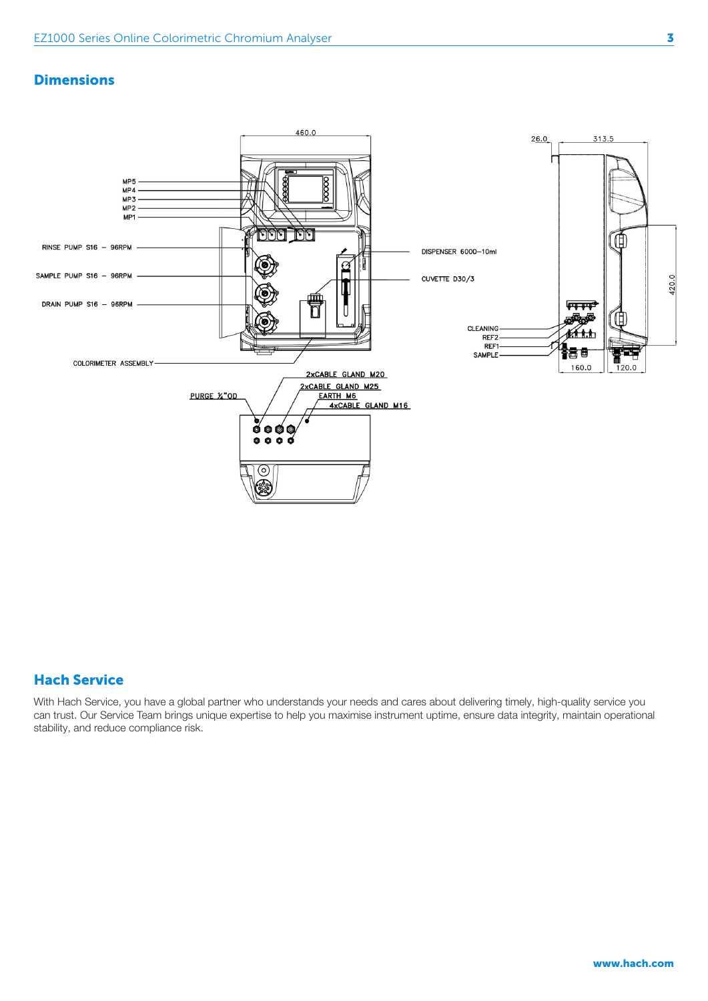#### **Dimensions**



#### Hach Service

With Hach Service, you have a global partner who understands your needs and cares about delivering timely, high-quality service you can trust. Our Service Team brings unique expertise to help you maximise instrument uptime, ensure data integrity, maintain operational stability, and reduce compliance risk.